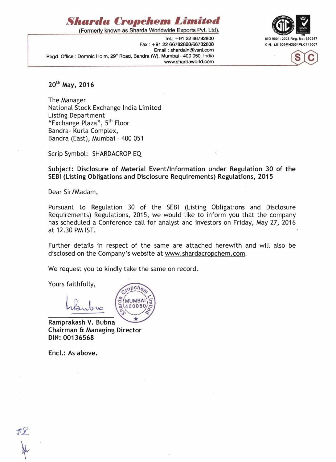

Fax: +91 22 66782828/66782808 CIN: L51909MH2004PLC145007 Email: shardain@vsnl.com Regd. Office : Domnic Holm, 29<sup>th</sup> Road, Bandra (W), Mumbai - 400 050. India www.shardaworld.com





20th May, 2016

The Manager National Stock Exchange India Limited Listing Department "Exchange Plaza", 5<sup>th</sup> Floor Bandra- Kurla Complex, Bandra (East), Mumbai - 400 051

Scrip Symbol: SHARDACROP EQ

Subject: Disclosure of Material Event/Information under Regulation 30 of the SEBI (Listing Obligations and Disclosure Requirements) Regulations, 2015

Dear Sir/Madam,

Pursuant to Regulation 30 of the SEBI (Listing Obligations and Disclosure Requirements) Regulations, 2015, we would like to inform you that the company has scheduled a Conference call for analyst and 'investors on Friday, May 27, 2016 at 12.30 PM 1ST.

Further details in respect of the same are attached herewith and will also be disclosed on the Company's website at www.shardacropchem.com.

We request you to kindly take the same on record.

Yours faithfully,

Ramprakash V. Bubna Chairman & Managing Director DIN: 00136568

Encl.: As above.